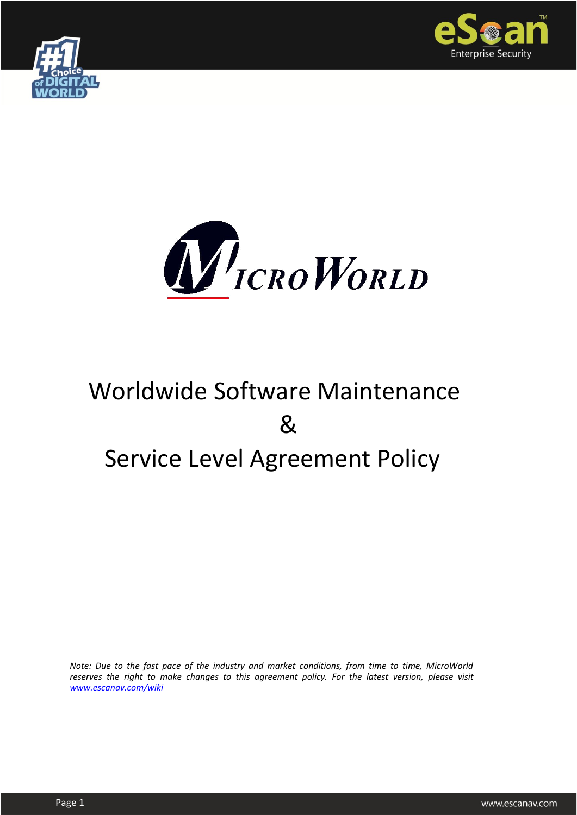





# Worldwide Software Maintenance & Service Level Agreement Policy

*Note: Due to the fast pace of the industry and market conditions, from time to time, MicroWorld reserves the right to make changes to this agreement policy. For the latest version, please visit [www.escanav.com/wiki](http://www.mwti.net/wiki)*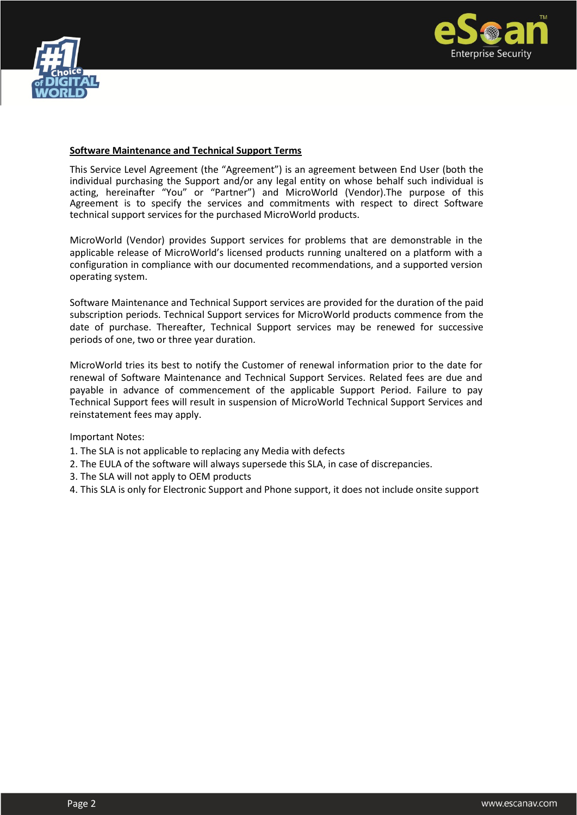



#### **Software Maintenance and Technical Support Terms**

This Service Level Agreement (the "Agreement") is an agreement between End User (both the individual purchasing the Support and/or any legal entity on whose behalf such individual is acting, hereinafter "You" or "Partner") and MicroWorld (Vendor).The purpose of this Agreement is to specify the services and commitments with respect to direct Software technical support services for the purchased MicroWorld products.

MicroWorld (Vendor) provides Support services for problems that are demonstrable in the applicable release of MicroWorld's licensed products running unaltered on a platform with a configuration in compliance with our documented recommendations, and a supported version operating system.

Software Maintenance and Technical Support services are provided for the duration of the paid subscription periods. Technical Support services for MicroWorld products commence from the date of purchase. Thereafter, Technical Support services may be renewed for successive periods of one, two or three year duration.

MicroWorld tries its best to notify the Customer of renewal information prior to the date for renewal of Software Maintenance and Technical Support Services. Related fees are due and payable in advance of commencement of the applicable Support Period. Failure to pay Technical Support fees will result in suspension of MicroWorld Technical Support Services and reinstatement fees may apply.

Important Notes:

- 1. The SLA is not applicable to replacing any Media with defects
- 2. The EULA of the software will always supersede this SLA, in case of discrepancies.
- 3. The SLA will not apply to OEM products
- 4. This SLA is only for Electronic Support and Phone support, it does not include onsite support

Page 2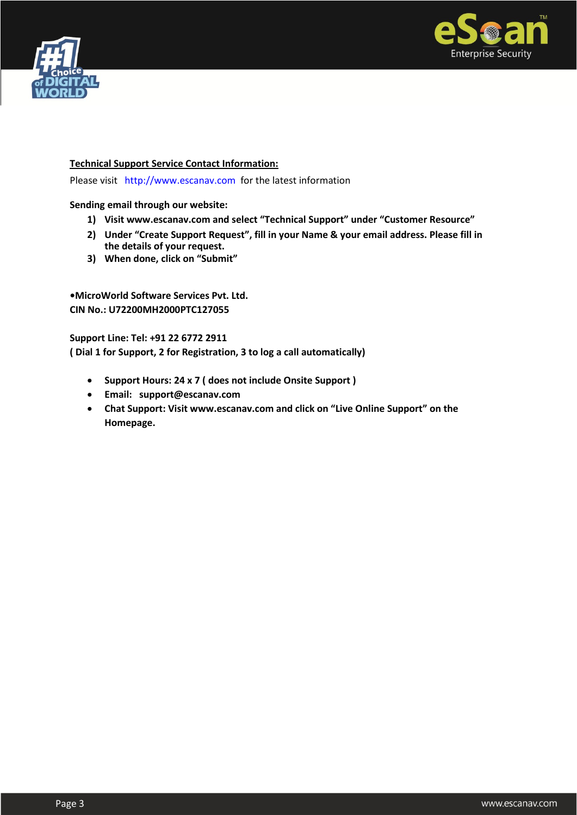



#### **Technical Support Service Contact Information:**

Please visit [http://www.escanav.com](http://www.escanav.com/) for the latest information

**Sending email through our website:** Page 2

- **1) Visit www.escanav.com and select "Technical Support" under "Customer Resource"**
- **2) Under "Create Support Request", fill in your Name & your email address. Please fill in the details of your request.**
- **3) When done, click on "Submit"**

**•MicroWorld Software Services Pvt. Ltd. CIN No.: U72200MH2000PTC127055** 

**Support Line: Tel: +91 22 6772 2911 ( Dial 1 for Support, 2 for Registration, 3 to log a call automatically)**

- **Support Hours: 24 x 7 ( does not include Onsite Support )**
- **Email: support@escanav.com**
- **Chat Support: Visit www.escanav.com and click on "Live Online Support" on the Homepage.**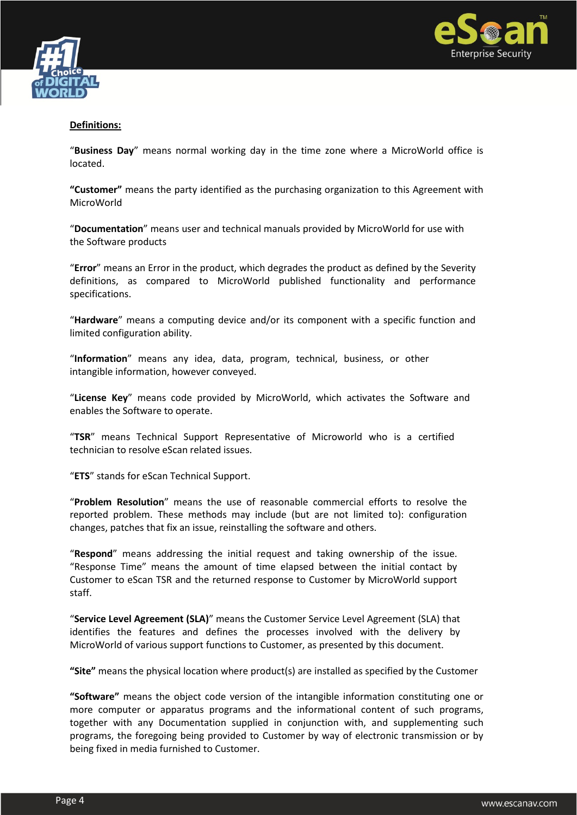



## **Definitions:**

"**Business Day**" means normal working day in the time zone where a MicroWorld office is located.

**"Customer"** means the party identified as the purchasing organization to this Agreement with MicroWorld

"**Documentation**" means user and technical manuals provided by MicroWorld for use with the Software products

"**Error**" means an Error in the product, which degrades the product as defined by the Severity definitions, as compared to MicroWorld published functionality and performance specifications.

"**Hardware**" means a computing device and/or its component with a specific function and limited configuration ability.

"**Information**" means any idea, data, program, technical, business, or other intangible information, however conveyed.

"**License Key**" means code provided by MicroWorld, which activates the Software and enables the Software to operate.

"**TSR**" means Technical Support Representative of Microworld who is a certified technician to resolve eScan related issues.

"**ETS**" stands for eScan Technical Support.

"**Problem Resolution**" means the use of reasonable commercial efforts to resolve the reported problem. These methods may include (but are not limited to): configuration changes, patches that fix an issue, reinstalling the software and others.

"**Respond**" means addressing the initial request and taking ownership of the issue. "Response Time" means the amount of time elapsed between the initial contact by Customer to eScan TSR and the returned response to Customer by MicroWorld support staff.

"**Service Level Agreement (SLA)**" means the Customer Service Level Agreement (SLA) that identifies the features and defines the processes involved with the delivery by MicroWorld of various support functions to Customer, as presented by this document.

**"Site"** means the physical location where product(s) are installed as specified by the Customer

**"Software"** means the object code version of the intangible information constituting one or more computer or apparatus programs and the informational content of such programs, together with any Documentation supplied in conjunction with, and supplementing such programs, the foregoing being provided to Customer by way of electronic transmission or by being fixed in media furnished to Customer.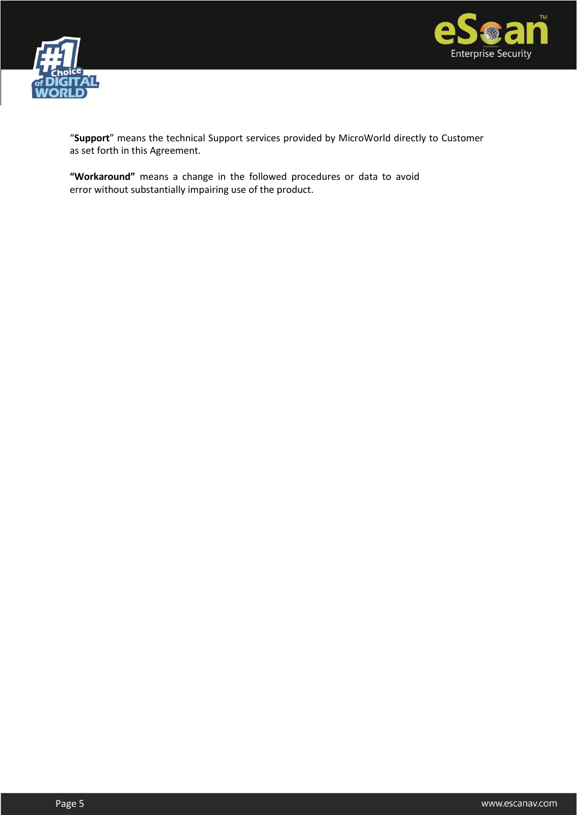



"**Support**" means the technical Support services provided by MicroWorld directly to Customer as set forth in this Agreement.

**"Workaround"** means a change in the followed procedures or data to avoid error without substantially impairing use of the product.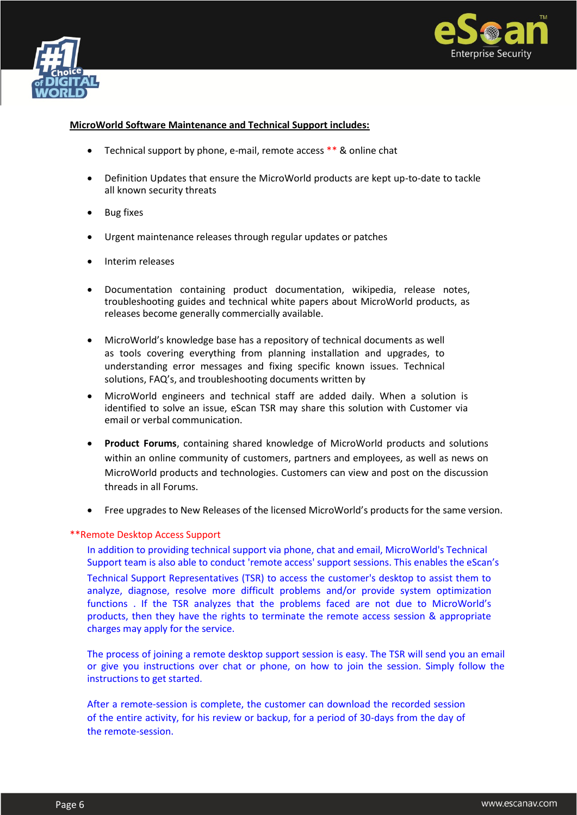



#### **MicroWorld Software Maintenance and Technical Support includes:**

- Technical support by phone, e-mail, remote access \*\* & online chat
- Definition Updates that ensure the MicroWorld products are kept up-to-date to tackle all known security threats
- Bug fixes
- Urgent maintenance releases through regular updates or patches
- Interim releases
- Documentation containing product documentation, wikipedia, release notes, troubleshooting guides and technical white papers about MicroWorld products, as releases become generally commercially available.
- MicroWorld's knowledge base has a repository of technical documents as well as tools covering everything from planning installation and upgrades, to understanding error messages and fixing specific known issues. Technical solutions, FAQ's, and troubleshooting documents written by
- MicroWorld engineers and technical staff are added daily. When a solution is identified to solve an issue, eScan TSR may share this solution with Customer via email or verbal communication.
- **Product Forums**, containing shared knowledge of MicroWorld products and solutions within an online community of customers, partners and employees, as well as news on MicroWorld products and technologies. Customers can view and post on the discussion threads in all Forums.
- Free upgrades to New Releases of the licensed MicroWorld's products for the same version.

#### \*\*Remote Desktop Access Support

In addition to providing technical support via phone, chat and email, MicroWorld's Technical Support team is also able to conduct 'remote access' support sessions. This enables the eScan's

Technical Support Representatives (TSR) to access the customer's desktop to assist them to analyze, diagnose, resolve more difficult problems and/or provide system optimization functions . If the TSR analyzes that the problems faced are not due to MicroWorld's products, then they have the rights to terminate the remote access session & appropriate charges may apply for the service.

The process of joining a remote desktop support session is easy. The TSR will send you an email or give you instructions over chat or phone, on how to join the session. Simply follow the instructions to get started.

After a remote-session is complete, the customer can download the recorded session of the entire activity, for his review or backup, for a period of 30-days from the day of the remote-session.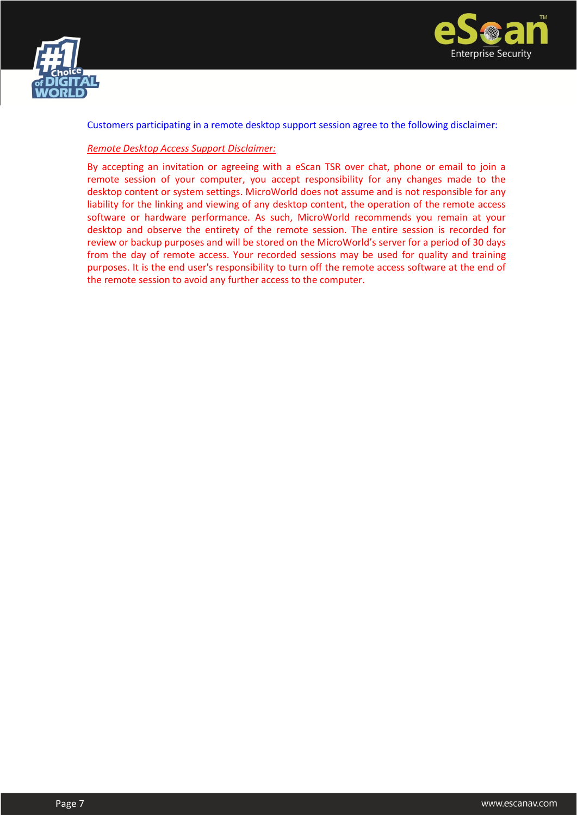



Customers participating in a remote desktop support session agree to the following disclaimer:

#### *Remote Desktop Access Support Disclaimer:*

By accepting an invitation or agreeing with a eScan TSR over chat, phone or email to join a remote session of your computer, you accept responsibility for any changes made to the desktop content or system settings. MicroWorld does not assume and is not responsible for any liability for the linking and viewing of any desktop content, the operation of the remote access software or hardware performance. As such, MicroWorld recommends you remain at your desktop and observe the entirety of the remote session. The entire session is recorded for review or backup purposes and will be stored on the MicroWorld's server for a period of 30 days from the day of remote access. Your recorded sessions may be used for quality and training purposes. It is the end user's responsibility to turn off the remote access software at the end of the remote session to avoid any further access to the computer.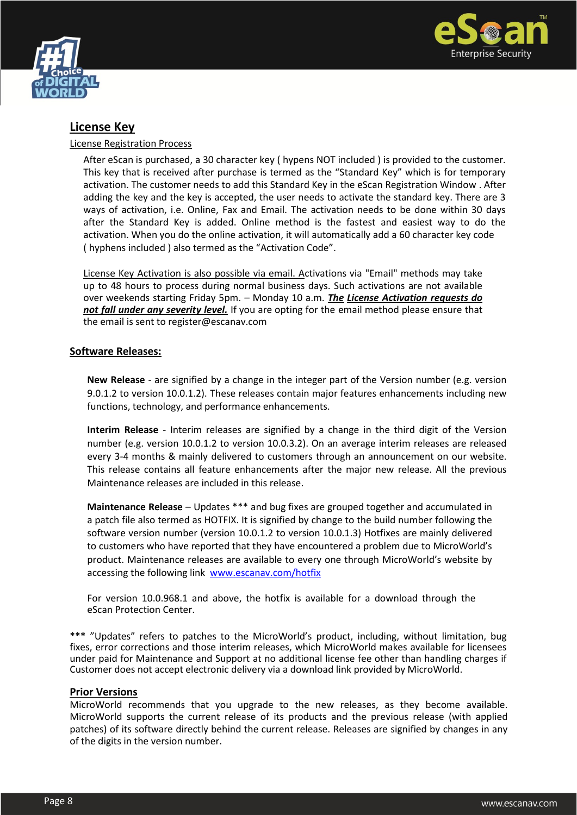



# **License Key**

#### License Registration Process

After eScan is purchased, a 30 character key ( hypens NOT included ) is provided to the customer. This key that is received after purchase is termed as the "Standard Key" which is for temporary activation. The customer needs to add this Standard Key in the eScan Registration Window . After adding the key and the key is accepted, the user needs to activate the standard key. There are 3 ways of activation, i.e. Online, Fax and Email. The activation needs to be done within 30 days after the Standard Key is added. Online method is the fastest and easiest way to do the activation. When you do the online activation, it will automatically add a 60 character key code ( hyphens included ) also termed as the "Activation Code".

License Key Activation is also possible via email. Activations via "Email" methods may take up to 48 hours to process during normal business days. Such activations are not available over weekends starting Friday 5pm. – Monday 10 a.m. *The License Activation requests do not fall under any severity level.* If you are opting for the email method please ensure that the email is sent to register@escanav.com

#### **Software Releases:**

**New Release** - are signified by a change in the integer part of the Version number (e.g. version 9.0.1.2 to version 10.0.1.2). These releases contain major features enhancements including new functions, technology, and performance enhancements.

**Interim Release** - Interim releases are signified by a change in the third digit of the Version number (e.g. version 10.0.1.2 to version 10.0.3.2). On an average interim releases are released every 3-4 months & mainly delivered to customers through an announcement on our website. This release contains all feature enhancements after the major new release. All the previous Maintenance releases are included in this release.

**Maintenance Release** – Updates \*\*\* and bug fixes are grouped together and accumulated in a patch file also termed as HOTFIX. It is signified by change to the build number following the software version number (version 10.0.1.2 to version 10.0.1.3) Hotfixes are mainly delivered to customers who have reported that they have encountered a problem due to MicroWorld's product. Maintenance releases are available to every one through MicroWorld's website by accessing the following link [www.escanav.com/hotfix](http://www.mwti.net/hotfix)

For version 10.0.968.1 and above, the hotfix is available for a download through the eScan Protection Center.

**\*\*\*** "Updates" refers to patches to the MicroWorld's product, including, without limitation, bug fixes, error corrections and those interim releases, which MicroWorld makes available for licensees under paid for Maintenance and Support at no additional license fee other than handling charges if Customer does not accept electronic delivery via a download link provided by MicroWorld.

#### **Prior Versions**

MicroWorld recommends that you upgrade to the new releases, as they become available. MicroWorld supports the current release of its products and the previous release (with applied patches) of its software directly behind the current release. Releases are signified by changes in any of the digits in the version number.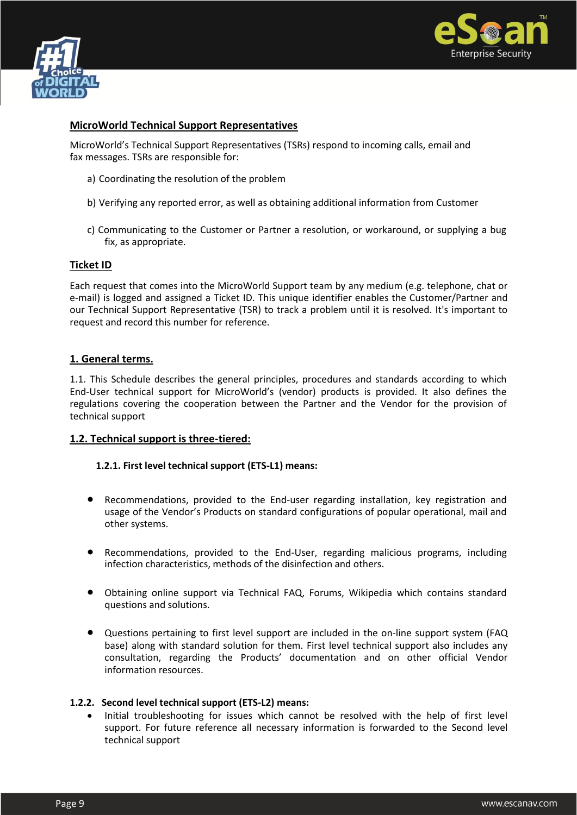



### **MicroWorld Technical Support Representatives**

MicroWorld's Technical Support Representatives (TSRs) respond to incoming calls, email and fax messages. TSRs are responsible for:

- a) Coordinating the resolution of the problem
- b) Verifying any reported error, as well as obtaining additional information from Customer
- c) Communicating to the Customer or Partner a resolution, or workaround, or supplying a bug fix, as appropriate.

#### **Ticket ID**

Each request that comes into the MicroWorld Support team by any medium (e.g. telephone, chat or e-mail) is logged and assigned a Ticket ID. This unique identifier enables the Customer/Partner and our Technical Support Representative (TSR) to track a problem until it is resolved. It's important to request and record this number for reference.

#### **1. General terms.**

1.1. This Schedule describes the general principles, procedures and standards according to which End-User technical support for MicroWorld's (vendor) products is provided. It also defines the regulations covering the cooperation between the Partner and the Vendor for the provision of technical support

#### **1.2. Technical support is three-tiered:**

#### **1.2.1. First level technical support (ETS-L1) means:**

- Recommendations, provided to the End-user regarding installation, key registration and usage of the Vendor's Products on standard configurations of popular operational, mail and other systems.
- Recommendations, provided to the End-User, regarding malicious programs, including infection characteristics, methods of the disinfection and others.
- Obtaining online support via Technical FAQ, Forums, Wikipedia which contains standard questions and solutions.
- Questions pertaining to first level support are included in the on-line support system (FAQ base) along with standard solution for them. First level technical support also includes any consultation, regarding the Products' documentation and on other official Vendor information resources.

#### **1.2.2. Second level technical support (ETS-L2) means:**

 Initial troubleshooting for issues which cannot be resolved with the help of first level support. For future reference all necessary information is forwarded to the Second level technical support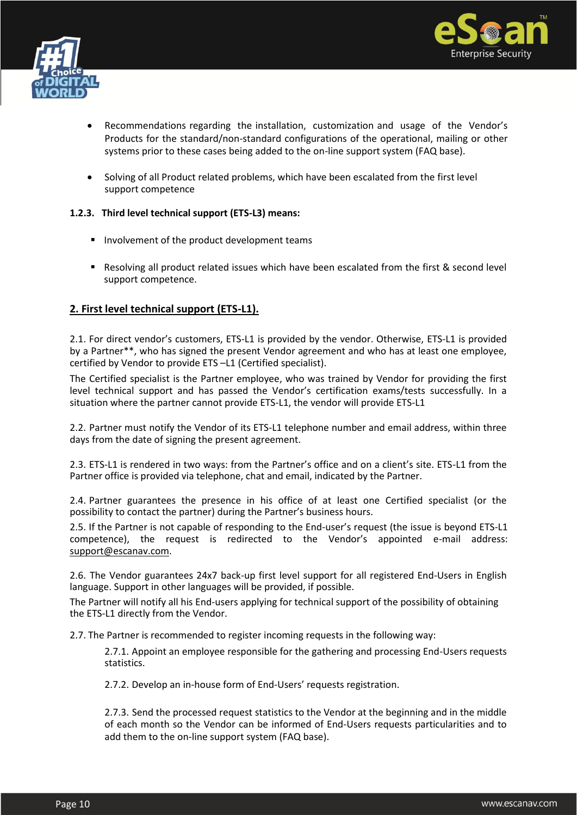



- Recommendations regarding the installation, customization and usage of the Vendor's Products for the standard/non-standard configurations of the operational, mailing or other systems prior to these cases being added to the on-line support system (FAQ base).
- Solving of all Product related problems, which have been escalated from the first level support competence

#### **1.2.3. Third level technical support (ETS-L3) means:**

- **Involvement of the product development teams**
- Resolving all product related issues which have been escalated from the first & second level support competence.

# **2. First level technical support (ETS-L1).**

2.1. For direct vendor's customers, ETS-L1 is provided by the vendor. Otherwise, ETS-L1 is provided by a Partner\*\*, who has signed the present Vendor agreement and who has at least one employee, certified by Vendor to provide ETS –L1 (Certified specialist).

The Certified specialist is the Partner employee, who was trained by Vendor for providing the first level technical support and has passed the Vendor's certification exams/tests successfully. In a situation where the partner cannot provide ETS-L1, the vendor will provide ETS-L1

2.2. Partner must notify the Vendor of its ETS-L1 telephone number and email address, within three days from the date of signing the present agreement.

2.3. ETS-L1 is rendered in two ways: from the Partner's office and on a client's site. ETS-L1 from the Partner office is provided via telephone, chat and email, indicated by the Partner.

2.4. Partner guarantees the presence in his office of at least one Certified specialist (or the possibility to contact the partner) during the Partner's business hours.

2.5. If the Partner is not capable of responding to the End-user's request (the issue is beyond ETS-L1 competence), the request is redirected to the Vendor's appointed e-mail address: support@escanav.com.

2.6. The Vendor guarantees 24x7 back-up first level support for all registered End-Users in English language. Support in other languages will be provided, if possible.

The Partner will notify all his End-users applying for technical support of the possibility of obtaining the ETS-L1 directly from the Vendor.

2.7. The Partner is recommended to register incoming requests in the following way:

2.7.1. Appoint an employee responsible for the gathering and processing End-Users requests statistics.

2.7.2. Develop an in-house form of End-Users' requests registration.

2.7.3. Send the processed request statistics to the Vendor at the beginning and in the middle of each month so the Vendor can be informed of End-Users requests particularities and to add them to the on-line support system (FAQ base).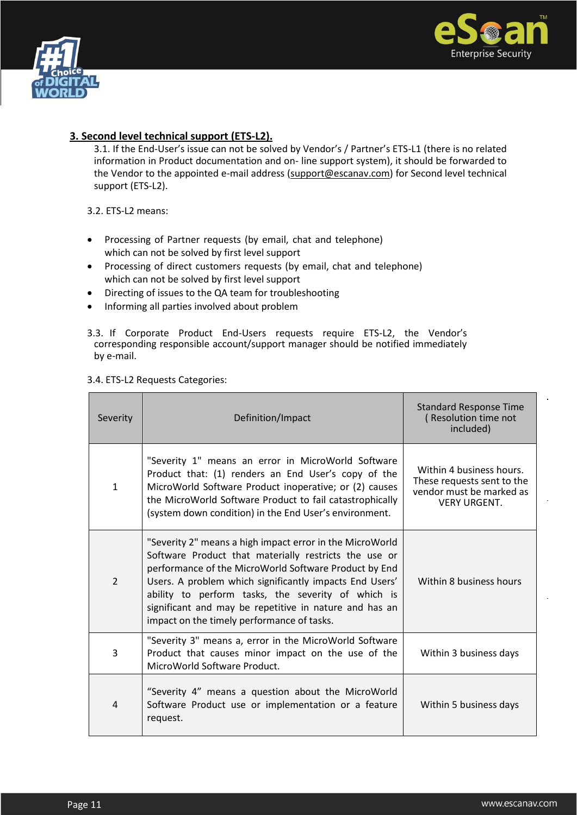



# **3. Second level technical support (ETS-L2).**

3.1. If the End-User's issue can not be solved by Vendor's / Partner's ETS-L1 (there is no related information in Product documentation and on- line support system), it should be forwarded to the Vendor to the appointed e-mail address (support@escanav.com) for Second level technical support (ETS-L2).

3.2. ETS-L2 means:

- Processing of Partner requests (by email, chat and telephone) which can not be solved by first level support
- Processing of direct customers requests (by email, chat and telephone) which can not be solved by first level support
- Directing of issues to the QA team for troubleshooting
- Informing all parties involved about problem
- 3.3. If Corporate Product End-Users requests require ETS-L2, the Vendor's corresponding responsible account/support manager should be notified immediately by e-mail.

# 3.4. ETS-L2 Requests Categories:

| Severity       | Definition/Impact                                                                                                                                                                                                                                                                                                                                                                                   | <b>Standard Response Time</b><br>(Resolution time not<br>included)                                        |
|----------------|-----------------------------------------------------------------------------------------------------------------------------------------------------------------------------------------------------------------------------------------------------------------------------------------------------------------------------------------------------------------------------------------------------|-----------------------------------------------------------------------------------------------------------|
| $\mathbf{1}$   | "Severity 1" means an error in MicroWorld Software<br>Product that: (1) renders an End User's copy of the<br>MicroWorld Software Product inoperative; or (2) causes<br>the MicroWorld Software Product to fail catastrophically<br>(system down condition) in the End User's environment.                                                                                                           | Within 4 business hours.<br>These requests sent to the<br>vendor must be marked as<br><b>VERY URGENT.</b> |
| $\overline{2}$ | "Severity 2" means a high impact error in the MicroWorld<br>Software Product that materially restricts the use or<br>performance of the MicroWorld Software Product by End<br>Users. A problem which significantly impacts End Users'<br>ability to perform tasks, the severity of which is<br>significant and may be repetitive in nature and has an<br>impact on the timely performance of tasks. | Within 8 business hours                                                                                   |
| 3              | "Severity 3" means a, error in the MicroWorld Software<br>Product that causes minor impact on the use of the<br>MicroWorld Software Product.                                                                                                                                                                                                                                                        | Within 3 business days                                                                                    |
| 4              | "Severity 4" means a question about the MicroWorld<br>Software Product use or implementation or a feature<br>request.                                                                                                                                                                                                                                                                               | Within 5 business days                                                                                    |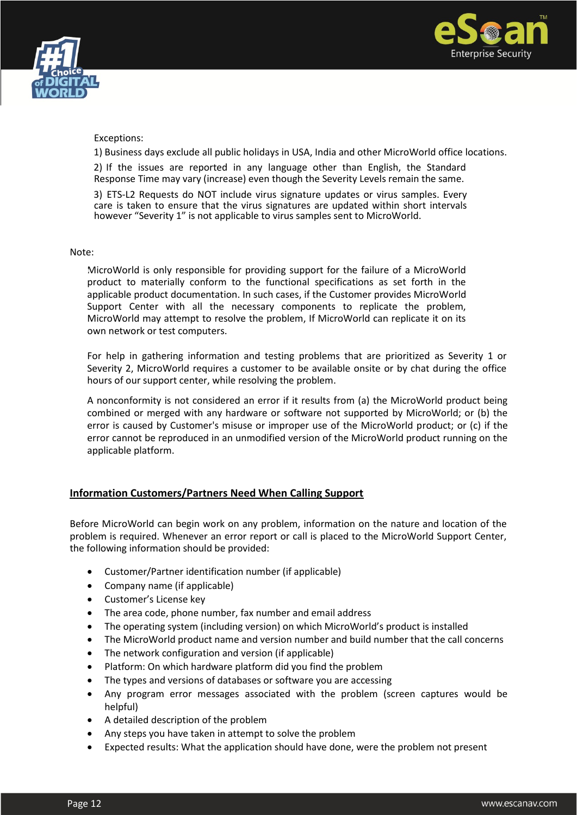



#### Exceptions:

1) Business days exclude all public holidays in USA, India and other MicroWorld office locations.

2) If the issues are reported in any language other than English, the Standard Response Time may vary (increase) even though the Severity Levels remain the same.

3) ETS-L2 Requests do NOT include virus signature updates or virus samples. Every care is taken to ensure that the virus signatures are updated within short intervals however "Severity 1" is not applicable to virus samples sent to MicroWorld.

#### Note:

MicroWorld is only responsible for providing support for the failure of a MicroWorld product to materially conform to the functional specifications as set forth in the applicable product documentation. In such cases, if the Customer provides MicroWorld Support Center with all the necessary components to replicate the problem, MicroWorld may attempt to resolve the problem, If MicroWorld can replicate it on its own network or test computers. Page 12

For help in gathering information and testing problems that are prioritized as Severity 1 or Severity 2, MicroWorld requires a customer to be available onsite or by chat during the office hours of our support center, while resolving the problem.

A nonconformity is not considered an error if it results from (a) the MicroWorld product being combined or merged with any hardware or software not supported by MicroWorld; or (b) the error is caused by Customer's misuse or improper use of the MicroWorld product; or (c) if the error cannot be reproduced in an unmodified version of the MicroWorld product running on the applicable platform.

#### **Information Customers/Partners Need When Calling Support**

Before MicroWorld can begin work on any problem, information on the nature and location of the problem is required. Whenever an error report or call is placed to the MicroWorld Support Center, the following information should be provided:

- Customer/Partner identification number (if applicable)
- Company name (if applicable)
- Customer's License key
- The area code, phone number, fax number and email address
- The operating system (including version) on which MicroWorld's product is installed
- The MicroWorld product name and version number and build number that the call concerns
- The network configuration and version (if applicable)
- Platform: On which hardware platform did you find the problem
- The types and versions of databases or software you are accessing
- Any program error messages associated with the problem (screen captures would be helpful)
- A detailed description of the problem
- Any steps you have taken in attempt to solve the problem
- Expected results: What the application should have done, were the problem not present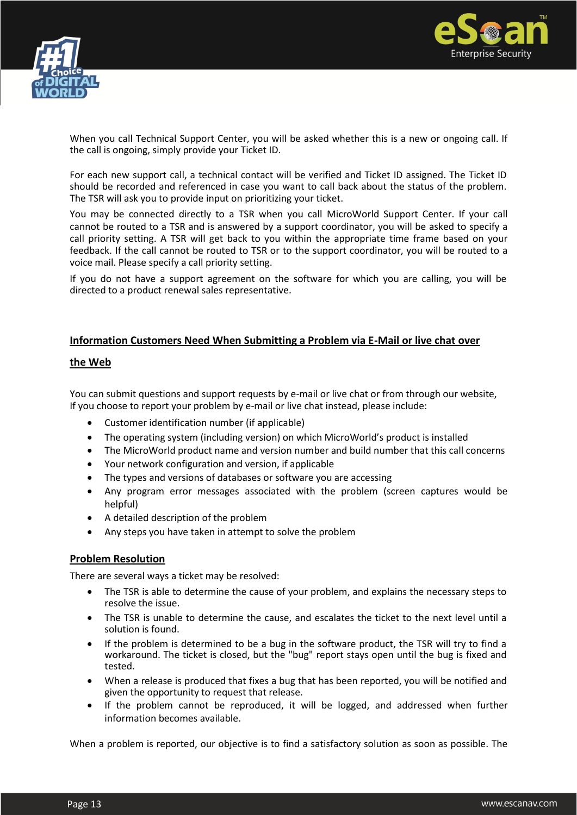



When you call Technical Support Center, you will be asked whether this is a new or ongoing call. If the call is ongoing, simply provide your Ticket ID.

For each new support call, a technical contact will be verified and Ticket ID assigned. The Ticket ID should be recorded and referenced in case you want to call back about the status of the problem. The TSR will ask you to provide input on prioritizing your ticket.

You may be connected directly to a TSR when you call MicroWorld Support Center. If your call cannot be routed to a TSR and is answered by a support coordinator, you will be asked to specify a call priority setting. A TSR will get back to you within the appropriate time frame based on your feedback. If the call cannot be routed to TSR or to the support coordinator, you will be routed to a voice mail. Please specify a call priority setting.

If you do not have a support agreement on the software for which you are calling, you will be directed to a product renewal sales representative.

#### **Information Customers Need When Submitting a Problem via E-Mail or live chat over**

#### **the Web**

You can submit questions and support requests by e-mail or live chat or from through our website, If you choose to report your problem by e-mail or live chat instead, please include:

- Customer identification number (if applicable)
- The operating system (including version) on which MicroWorld's product is installed
- The MicroWorld product name and version number and build number that this call concerns
- Your network configuration and version, if applicable
- The types and versions of databases or software you are accessing
- Any program error messages associated with the problem (screen captures would be helpful)
- A detailed description of the problem
- Any steps you have taken in attempt to solve the problem

## **Problem Resolution**

There are several ways a ticket may be resolved:

- The TSR is able to determine the cause of your problem, and explains the necessary steps to resolve the issue.
- The TSR is unable to determine the cause, and escalates the ticket to the next level until a solution is found.
- If the problem is determined to be a bug in the software product, the TSR will try to find a workaround. The ticket is closed, but the "bug" report stays open until the bug is fixed and tested.
- When a release is produced that fixes a bug that has been reported, you will be notified and given the opportunity to request that release.
- If the problem cannot be reproduced, it will be logged, and addressed when further information becomes available.

When a problem is reported, our objective is to find a satisfactory solution as soon as possible. The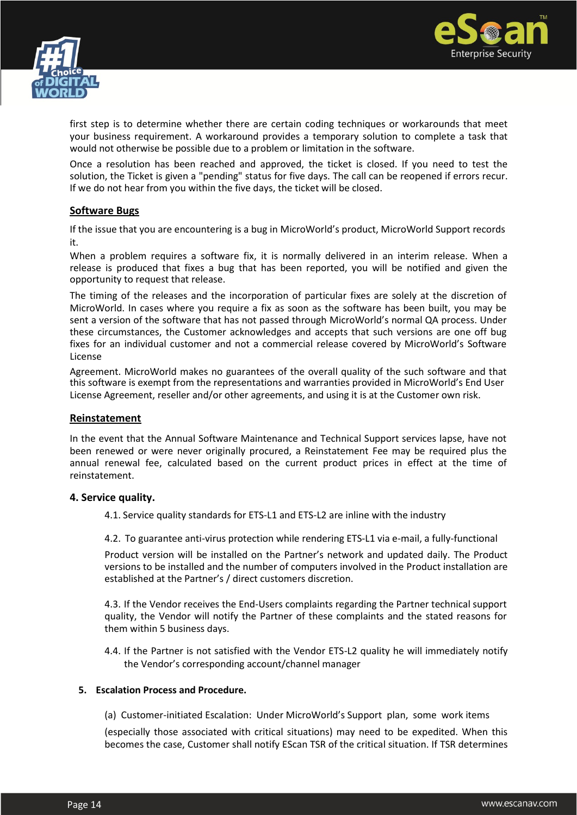



first step is to determine whether there are certain coding techniques or workarounds that meet your business requirement. A workaround provides a temporary solution to complete a task that would not otherwise be possible due to a problem or limitation in the software.

Once a resolution has been reached and approved, the ticket is closed. If you need to test the solution, the Ticket is given a "pending" status for five days. The call can be reopened if errors recur. If we do not hear from you within the five days, the ticket will be closed.

## **Software Bugs**

If the issue that you are encountering is a bug in MicroWorld's product, MicroWorld Support records it.

When a problem requires a software fix, it is normally delivered in an interim release. When a release is produced that fixes a bug that has been reported, you will be notified and given the opportunity to request that release.

The timing of the releases and the incorporation of particular fixes are solely at the discretion of MicroWorld. In cases where you require a fix as soon as the software has been built, you may be sent a version of the software that has not passed through MicroWorld's normal QA process. Under these circumstances, the Customer acknowledges and accepts that such versions are one off bug fixes for an individual customer and not a commercial release covered by MicroWorld's Software License

Agreement. MicroWorld makes no guarantees of the overall quality of the such software and that this software is exempt from the representations and warranties provided in MicroWorld's End User License Agreement, reseller and/or other agreements, and using it is at the Customer own risk.

#### **Reinstatement**

In the event that the Annual Software Maintenance and Technical Support services lapse, have not been renewed or were never originally procured, a Reinstatement Fee may be required plus the annual renewal fee, calculated based on the current product prices in effect at the time of reinstatement.

#### **4. Service quality.**

4.1. Service quality standards for ETS-L1 and ETS-L2 are inline with the industry

4.2. To guarantee anti-virus protection while rendering ETS-L1 via e-mail, a fully-functional

Product version will be installed on the Partner's network and updated daily. The Product versions to be installed and the number of computers involved in the Product installation are established at the Partner's / direct customers discretion.

4.3. If the Vendor receives the End-Users complaints regarding the Partner technical support quality, the Vendor will notify the Partner of these complaints and the stated reasons for them within 5 business days.

4.4. If the Partner is not satisfied with the Vendor ETS-L2 quality he will immediately notify the Vendor's corresponding account/channel manager

#### **5. Escalation Process and Procedure.**

(a) Customer-initiated Escalation: Under MicroWorld's Support plan, some work items

(especially those associated with critical situations) may need to be expedited. When this becomes the case, Customer shall notify EScan TSR of the critical situation. If TSR determines